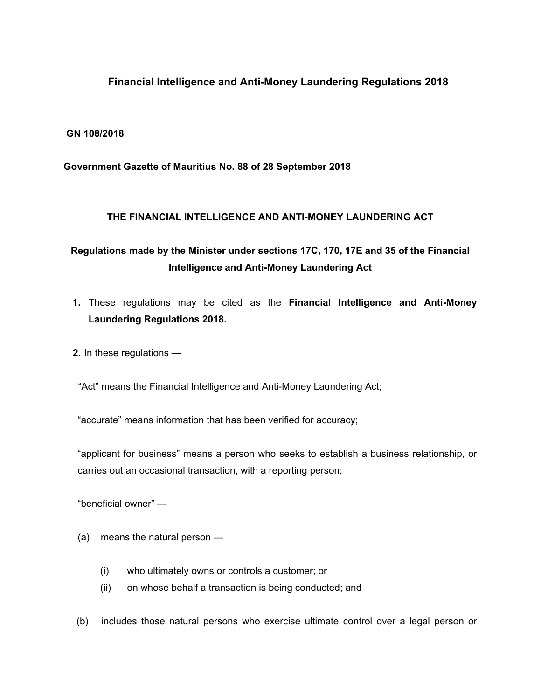# **Financial Intelligence and Anti-Money Laundering Regulations 2018**

### **GN 108/2018**

### **Government Gazette of Mauritius No. 88 of 28 September 2018**

#### **THE FINANCIAL INTELLIGENCE AND ANTI-MONEY LAUNDERING ACT**

# **Regulations made by the Minister under sections 17C, 170, 17E and 35 of the Financial Intelligence and Anti-Money Laundering Act**

- **1.** These regulations may be cited as the **Financial Intelligence and Anti-Money Laundering Regulations 2018.**
- **2.** In these regulations —

"Act" means the Financial Intelligence and Anti-Money Laundering Act;

"accurate" means information that has been verified for accuracy;

"applicant for business" means a person who seeks to establish a business relationship, or carries out an occasional transaction, with a reporting person;

"beneficial owner" —

- (a) means the natural person
	- (i) who ultimately owns or controls a customer; or
	- (ii) on whose behalf a transaction is being conducted; and
- (b) includes those natural persons who exercise ultimate control over a legal person or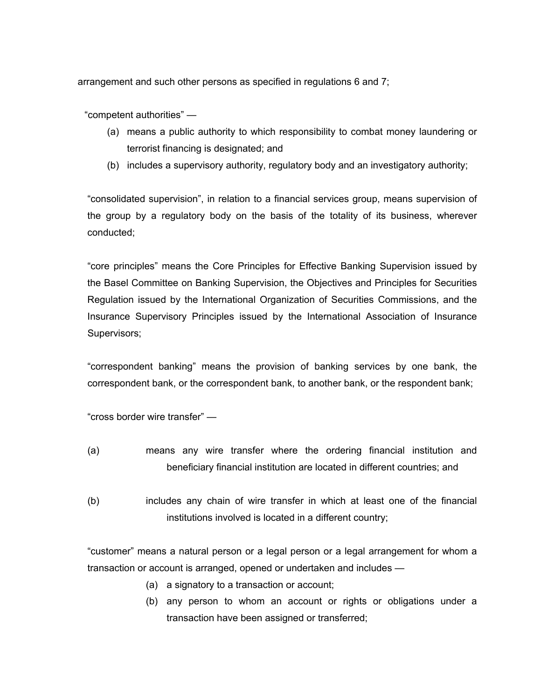arrangement and such other persons as specified in regulations 6 and 7;

"competent authorities" —

- (a) means a public authority to which responsibility to combat money laundering or terrorist financing is designated; and
- (b) includes a supervisory authority, regulatory body and an investigatory authority;

"consolidated supervision", in relation to a financial services group, means supervision of the group by a regulatory body on the basis of the totality of its business, wherever conducted;

"core principles" means the Core Principles for Effective Banking Supervision issued by the Basel Committee on Banking Supervision, the Objectives and Principles for Securities Regulation issued by the International Organization of Securities Commissions, and the Insurance Supervisory Principles issued by the International Association of Insurance Supervisors;

"correspondent banking" means the provision of banking services by one bank, the correspondent bank, or the correspondent bank, to another bank, or the respondent bank;

"cross border wire transfer" —

- (a) means any wire transfer where the ordering financial institution and beneficiary financial institution are located in different countries; and
- (b) includes any chain of wire transfer in which at least one of the financial institutions involved is located in a different country;

"customer" means a natural person or a legal person or a legal arrangement for whom a transaction or account is arranged, opened or undertaken and includes —

- (a) a signatory to a transaction or account;
- (b) any person to whom an account or rights or obligations under a transaction have been assigned or transferred;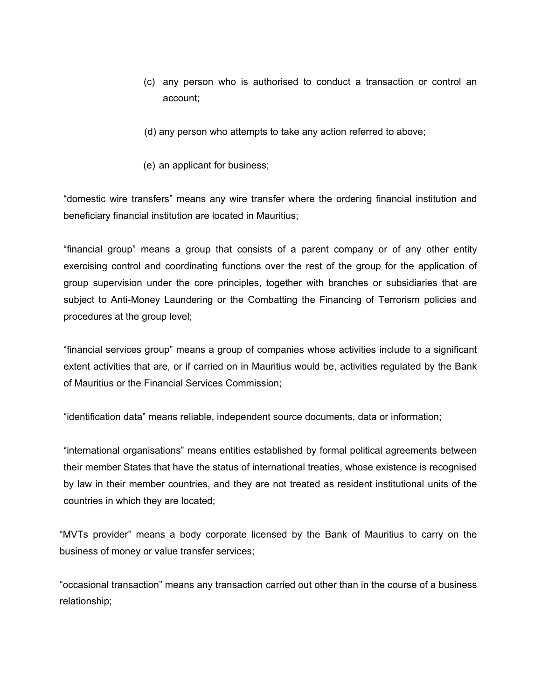- (c) any person who is authorised to conduct a transaction or control an account;
- (d) any person who attempts to take any action referred to above;
- (e) an applicant for business;

"domestic wire transfers" means any wire transfer where the ordering financial institution and beneficiary financial institution are located in Mauritius;

"financial group" means a group that consists of a parent company or of any other entity exercising control and coordinating functions over the rest of the group for the application of group supervision under the core principles, together with branches or subsidiaries that are subject to Anti-Money Laundering or the Combatting the Financing of Terrorism policies and procedures at the group level;

"financial services group" means a group of companies whose activities include to a significant extent activities that are, or if carried on in Mauritius would be, activities regulated by the Bank of Mauritius or the Financial Services Commission;

"identification data" means reliable, independent source documents, data or information;

"international organisations" means entities established by formal political agreements between their member States that have the status of international treaties, whose existence is recognised by law in their member countries, and they are not treated as resident institutional units of the countries in which they are located;

"MVTs provider" means a body corporate licensed by the Bank of Mauritius to carry on the business of money or value transfer services;

"occasional transaction" means any transaction carried out other than in the course of a business relationship;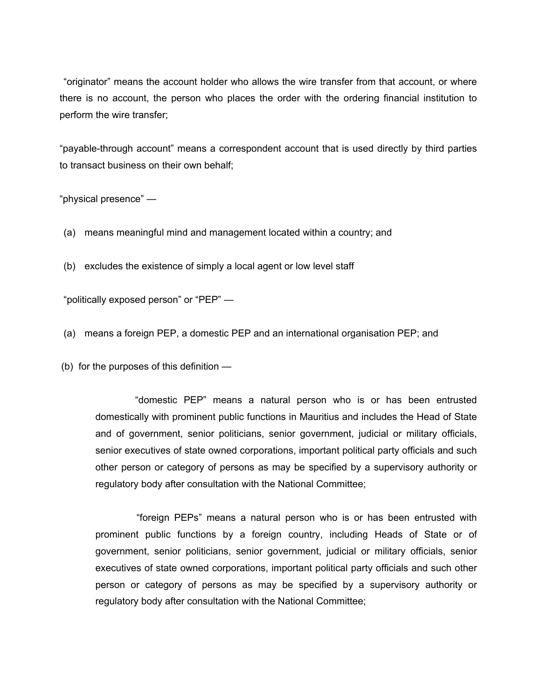"originator" means the account holder who allows the wire transfer from that account, or where there is no account, the person who places the order with the ordering financial institution to perform the wire transfer;

"payable-through account" means a correspondent account that is used directly by third parties to transact business on their own behalf;

"physical presence" —

(a) means meaningful mind and management located within a country; and

(b) excludes the existence of simply a local agent or low level staff

"politically exposed person" or "PEP" —

(a) means a foreign PEP, a domestic PEP and an international organisation PEP; and

(b) for the purposes of this definition —

"domestic PEP" means a natural person who is or has been entrusted domestically with prominent public functions in Mauritius and includes the Head of State and of government, senior politicians, senior government, judicial or military officials, senior executives of state owned corporations, important political party officials and such other person or category of persons as may be specified by a supervisory authority or regulatory body after consultation with the National Committee;

 "foreign PEPs" means a natural person who is or has been entrusted with prominent public functions by a foreign country, including Heads of State or of government, senior politicians, senior government, judicial or military officials, senior executives of state owned corporations, important political party officials and such other person or category of persons as may be specified by a supervisory authority or regulatory body after consultation with the National Committee;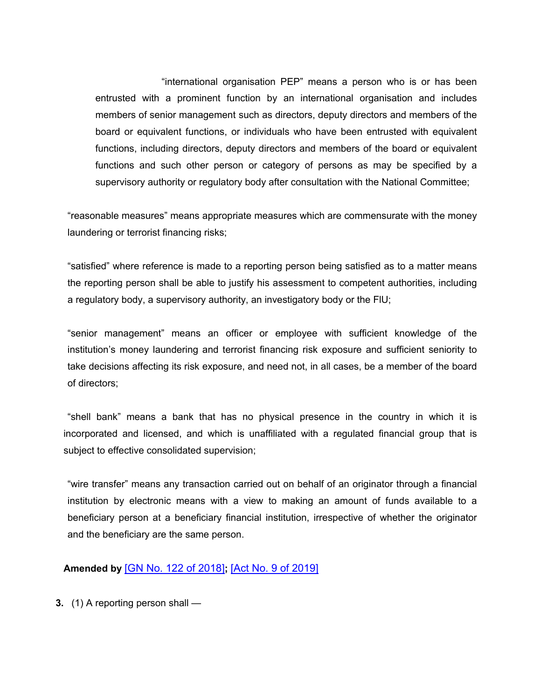"international organisation PEP" means a person who is or has been entrusted with a prominent function by an international organisation and includes members of senior management such as directors, deputy directors and members of the board or equivalent functions, or individuals who have been entrusted with equivalent functions, including directors, deputy directors and members of the board or equivalent functions and such other person or category of persons as may be specified by a supervisory authority or regulatory body after consultation with the National Committee;

"reasonable measures" means appropriate measures which are commensurate with the money laundering or terrorist financing risks;

"satisfied" where reference is made to a reporting person being satisfied as to a matter means the reporting person shall be able to justify his assessment to competent authorities, including a regulatory body, a supervisory authority, an investigatory body or the FlU;

"senior management" means an officer or employee with sufficient knowledge of the institution's money laundering and terrorist financing risk exposure and sufficient seniority to take decisions affecting its risk exposure, and need not, in all cases, be a member of the board of directors;

"shell bank" means a bank that has no physical presence in the country in which it is incorporated and licensed, and which is unaffiliated with a regulated financial group that is subject to effective consolidated supervision;

"wire transfer" means any transaction carried out on behalf of an originator through a financial institution by electronic means with a view to making an amount of funds available to a beneficiary person at a beneficiary financial institution, irrespective of whether the originator and the beneficiary are the same person.

### **Amended by** [GN No. 122 of [2018\]](https://supremecourt.govmu.org/_layouts/CLIS.DMS/search/searchdocumentbykey.aspx?ID=%5BGN%20No.%20122%20of%202018%5D&list=Legislations)**;** [Act No. 9 of [2019\]](https://supremecourt.govmu.org/_layouts/CLIS.DMS/search/searchdocumentbykey.aspx?ID=%5BAct%20No.%209%20of%202019%5D&list=Legislations)

**3.** (1) A reporting person shall —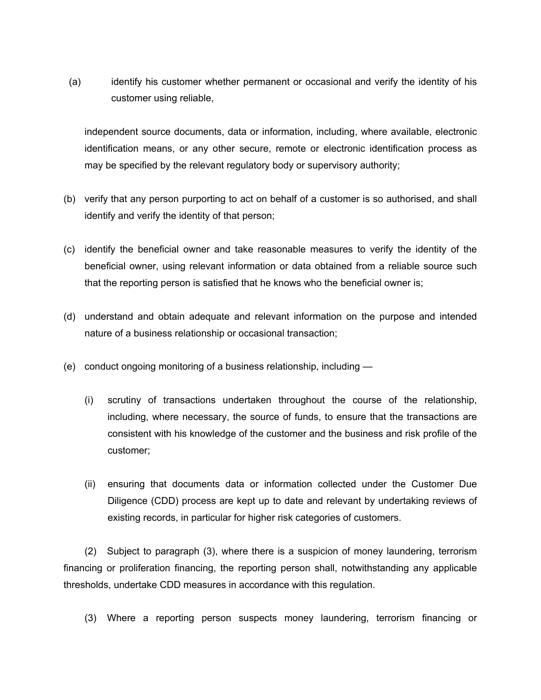(a) identify his customer whether permanent or occasional and verify the identity of his customer using reliable,

independent source documents, data or information, including, where available, electronic identification means, or any other secure, remote or electronic identification process as may be specified by the relevant regulatory body or supervisory authority;

- (b) verify that any person purporting to act on behalf of a customer is so authorised, and shall identify and verify the identity of that person;
- (c) identify the beneficial owner and take reasonable measures to verify the identity of the beneficial owner, using relevant information or data obtained from a reliable source such that the reporting person is satisfied that he knows who the beneficial owner is;
- (d) understand and obtain adequate and relevant information on the purpose and intended nature of a business relationship or occasional transaction;
- (e) conduct ongoing monitoring of a business relationship, including
	- (i) scrutiny of transactions undertaken throughout the course of the relationship, including, where necessary, the source of funds, to ensure that the transactions are consistent with his knowledge of the customer and the business and risk profile of the customer;
	- (ii) ensuring that documents data or information collected under the Customer Due Diligence (CDD) process are kept up to date and relevant by undertaking reviews of existing records, in particular for higher risk categories of customers.

(2) Subject to paragraph (3), where there is a suspicion of money laundering, terrorism financing or proliferation financing, the reporting person shall, notwithstanding any applicable thresholds, undertake CDD measures in accordance with this regulation.

(3) Where a reporting person suspects money laundering, terrorism financing or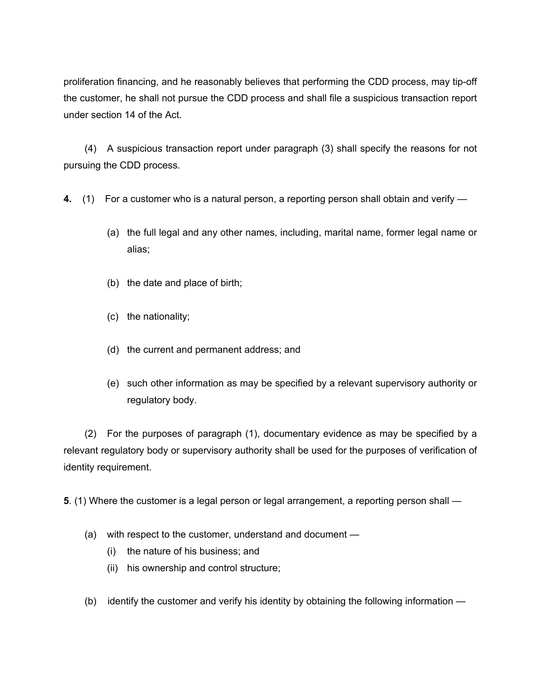proliferation financing, and he reasonably believes that performing the CDD process, may tip-off the customer, he shall not pursue the CDD process and shall file a suspicious transaction report under section 14 of the Act.

(4) A suspicious transaction report under paragraph (3) shall specify the reasons for not pursuing the CDD process.

- **4.** (1) For a customer who is a natural person, a reporting person shall obtain and verify
	- (a) the full legal and any other names, including, marital name, former legal name or alias;
	- (b) the date and place of birth;
	- (c) the nationality;
	- (d) the current and permanent address; and
	- (e) such other information as may be specified by a relevant supervisory authority or regulatory body.

(2) For the purposes of paragraph (1), documentary evidence as may be specified by a relevant regulatory body or supervisory authority shall be used for the purposes of verification of identity requirement.

**5**. (1) Where the customer is a legal person or legal arrangement, a reporting person shall —

- (a) with respect to the customer, understand and document
	- (i) the nature of his business; and
	- (ii) his ownership and control structure;
- (b) identify the customer and verify his identity by obtaining the following information —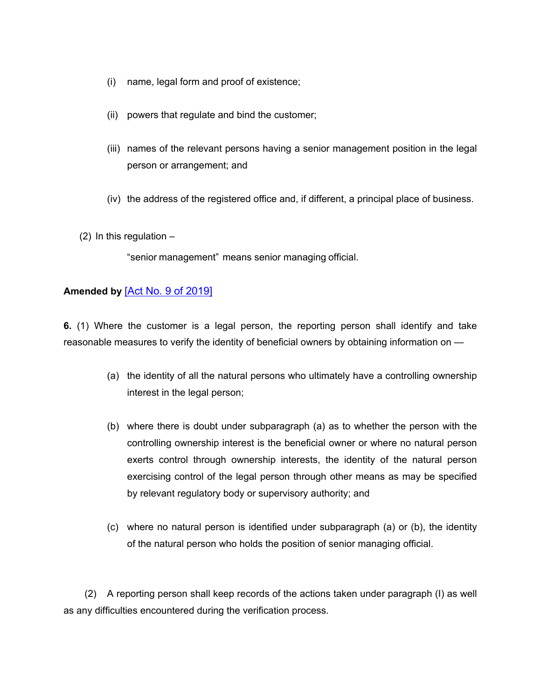- (i) name, legal form and proof of existence;
- (ii) powers that regulate and bind the customer;
- (iii) names of the relevant persons having a senior management position in the legal person or arrangement; and
- (iv) the address of the registered office and, if different, a principal place of business.

 $(2)$  In this regulation  $-$ 

"senior management" means senior managing official.

### **Amended by** [Act No. 9 of [2019\]](https://supremecourt.govmu.org/_layouts/CLIS.DMS/search/searchdocumentbykey.aspx?ID=%5BAct%20No.%209%20of%202019%5D&list=Legislations)

**6.** (1) Where the customer is a legal person, the reporting person shall identify and take reasonable measures to verify the identity of beneficial owners by obtaining information on —

- (a) the identity of all the natural persons who ultimately have a controlling ownership interest in the legal person;
- (b) where there is doubt under subparagraph (a) as to whether the person with the controlling ownership interest is the beneficial owner or where no natural person exerts control through ownership interests, the identity of the natural person exercising control of the legal person through other means as may be specified by relevant regulatory body or supervisory authority; and
- (c) where no natural person is identified under subparagraph (a) or (b), the identity of the natural person who holds the position of senior managing official.

(2) A reporting person shall keep records of the actions taken under paragraph (I) as well as any difficulties encountered during the verification process.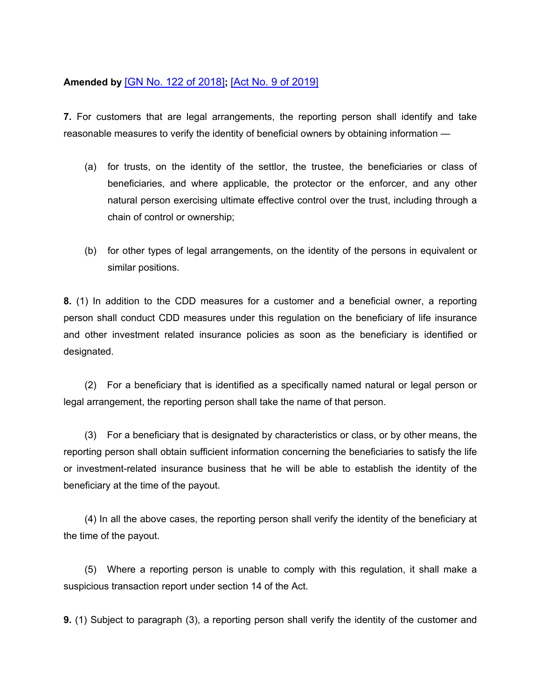# **Amended by** [GN No. 122 of [2018\]](https://supremecourt.govmu.org/_layouts/CLIS.DMS/search/searchdocumentbykey.aspx?ID=%5BGN%20No.%20122%20of%202018%5D&list=Legislations)**;** [Act No. 9 of [2019\]](https://supremecourt.govmu.org/_layouts/CLIS.DMS/search/searchdocumentbykey.aspx?ID=%5BAct%20No.%209%20of%202019%5D&list=Legislations)

**7.** For customers that are legal arrangements, the reporting person shall identify and take reasonable measures to verify the identity of beneficial owners by obtaining information —

- (a) for trusts, on the identity of the settlor, the trustee, the beneficiaries or class of beneficiaries, and where applicable, the protector or the enforcer, and any other natural person exercising ultimate effective control over the trust, including through a chain of control or ownership;
- (b) for other types of legal arrangements, on the identity of the persons in equivalent or similar positions.

**8.** (1) In addition to the CDD measures for a customer and a beneficial owner, a reporting person shall conduct CDD measures under this regulation on the beneficiary of life insurance and other investment related insurance policies as soon as the beneficiary is identified or designated.

(2) For a beneficiary that is identified as a specifically named natural or legal person or legal arrangement, the reporting person shall take the name of that person.

(3) For a beneficiary that is designated by characteristics or class, or by other means, the reporting person shall obtain sufficient information concerning the beneficiaries to satisfy the life or investment-related insurance business that he will be able to establish the identity of the beneficiary at the time of the payout.

(4) In all the above cases, the reporting person shall verify the identity of the beneficiary at the time of the payout.

(5) Where a reporting person is unable to comply with this regulation, it shall make a suspicious transaction report under section 14 of the Act.

**9.** (1) Subject to paragraph (3), a reporting person shall verify the identity of the customer and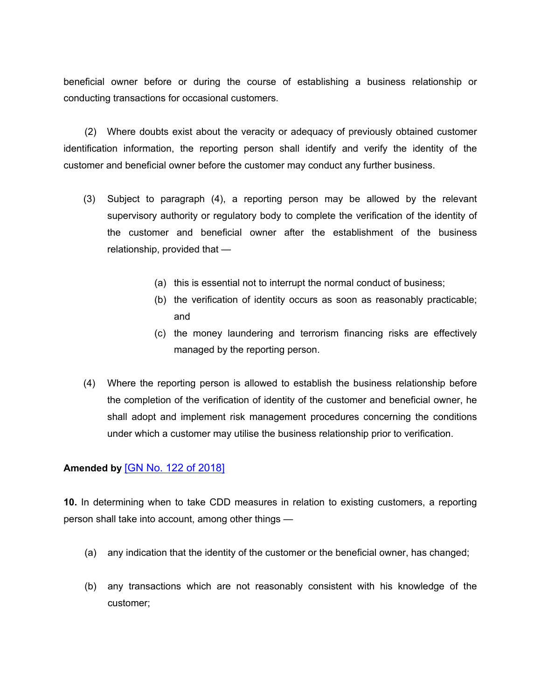beneficial owner before or during the course of establishing a business relationship or conducting transactions for occasional customers.

(2) Where doubts exist about the veracity or adequacy of previously obtained customer identification information, the reporting person shall identify and verify the identity of the customer and beneficial owner before the customer may conduct any further business.

- (3) Subject to paragraph (4), a reporting person may be allowed by the relevant supervisory authority or regulatory body to complete the verification of the identity of the customer and beneficial owner after the establishment of the business relationship, provided that —
	- (a) this is essential not to interrupt the normal conduct of business;
	- (b) the verification of identity occurs as soon as reasonably practicable; and
	- (c) the money laundering and terrorism financing risks are effectively managed by the reporting person.
- (4) Where the reporting person is allowed to establish the business relationship before the completion of the verification of identity of the customer and beneficial owner, he shall adopt and implement risk management procedures concerning the conditions under which a customer may utilise the business relationship prior to verification.

### **Amended by** [GN No. 122 of [2018\]](https://supremecourt.govmu.org/_layouts/CLIS.DMS/search/searchdocumentbykey.aspx?ID=%5BGN%20No.%20122%20of%202018%5D&list=Legislations)

**10.** In determining when to take CDD measures in relation to existing customers, a reporting person shall take into account, among other things —

- (a) any indication that the identity of the customer or the beneficial owner, has changed;
- (b) any transactions which are not reasonably consistent with his knowledge of the customer;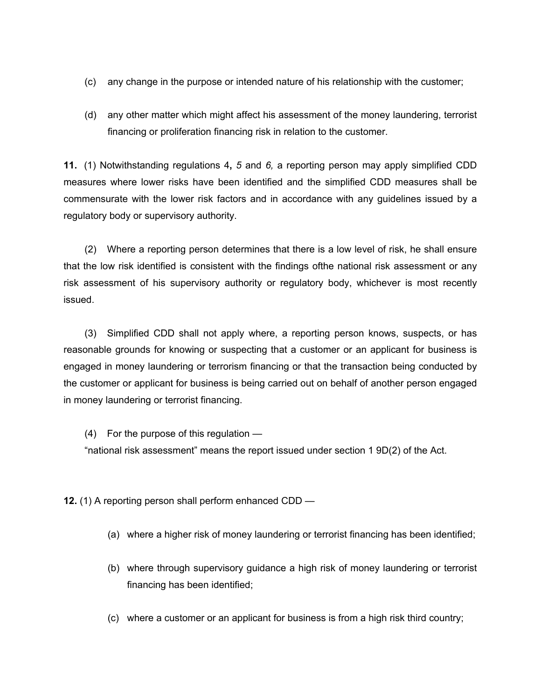- (c) any change in the purpose or intended nature of his relationship with the customer;
- (d) any other matter which might affect his assessment of the money laundering, terrorist financing or proliferation financing risk in relation to the customer.

**11.** (1) Notwithstanding regulations 4**,** *5* and *6,* a reporting person may apply simplified CDD measures where lower risks have been identified and the simplified CDD measures shall be commensurate with the lower risk factors and in accordance with any guidelines issued by a regulatory body or supervisory authority.

(2) Where a reporting person determines that there is a low level of risk, he shall ensure that the low risk identified is consistent with the findings ofthe national risk assessment or any risk assessment of his supervisory authority or regulatory body, whichever is most recently issued.

(3) Simplified CDD shall not apply where, a reporting person knows, suspects, or has reasonable grounds for knowing or suspecting that a customer or an applicant for business is engaged in money laundering or terrorism financing or that the transaction being conducted by the customer or applicant for business is being carried out on behalf of another person engaged in money laundering or terrorist financing.

(4) For the purpose of this regulation —

"national risk assessment" means the report issued under section 1 9D(2) of the Act.

**12.** (1) A reporting person shall perform enhanced CDD —

- (a) where a higher risk of money laundering or terrorist financing has been identified;
- (b) where through supervisory guidance a high risk of money laundering or terrorist financing has been identified;
- (c) where a customer or an applicant for business is from a high risk third country;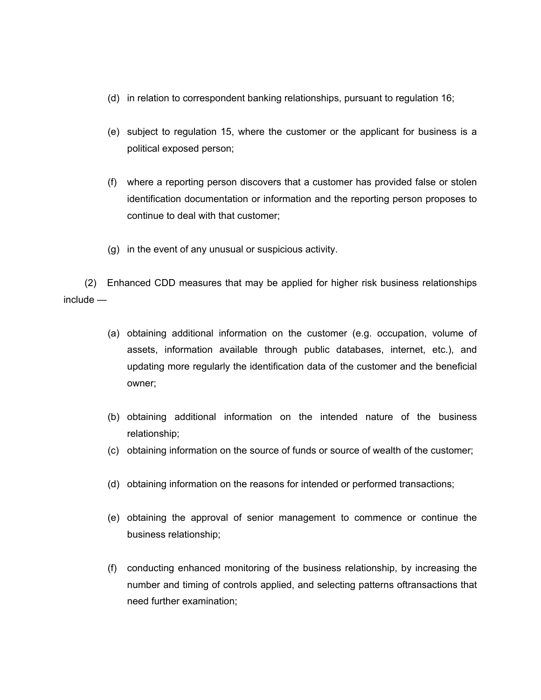- (d) in relation to correspondent banking relationships, pursuant to regulation 16;
- (e) subject to regulation 15, where the customer or the applicant for business is a political exposed person;
- (f) where a reporting person discovers that a customer has provided false or stolen identification documentation or information and the reporting person proposes to continue to deal with that customer;
- (g) in the event of any unusual or suspicious activity.

(2) Enhanced CDD measures that may be applied for higher risk business relationships include —

- (a) obtaining additional information on the customer (e.g. occupation, volume of assets, information available through public databases, internet, etc.), and updating more regularly the identification data of the customer and the beneficial owner;
- (b) obtaining additional information on the intended nature of the business relationship;
- (c) obtaining information on the source of funds or source of wealth of the customer;
- (d) obtaining information on the reasons for intended or performed transactions;
- (e) obtaining the approval of senior management to commence or continue the business relationship;
- (f) conducting enhanced monitoring of the business relationship, by increasing the number and timing of controls applied, and selecting patterns oftransactions that need further examination;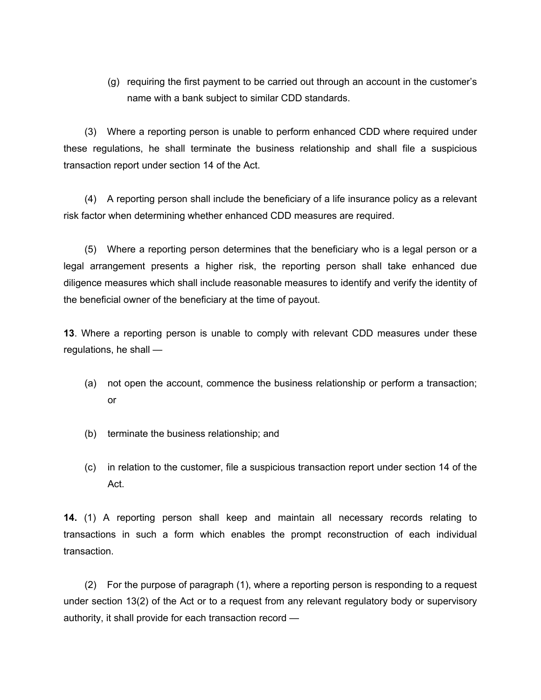(g) requiring the first payment to be carried out through an account in the customer's name with a bank subject to similar CDD standards.

(3) Where a reporting person is unable to perform enhanced CDD where required under these regulations, he shall terminate the business relationship and shall file a suspicious transaction report under section 14 of the Act.

(4) A reporting person shall include the beneficiary of a life insurance policy as a relevant risk factor when determining whether enhanced CDD measures are required.

(5) Where a reporting person determines that the beneficiary who is a legal person or a legal arrangement presents a higher risk, the reporting person shall take enhanced due diligence measures which shall include reasonable measures to identify and verify the identity of the beneficial owner of the beneficiary at the time of payout.

**13**. Where a reporting person is unable to comply with relevant CDD measures under these regulations, he shall —

- (a) not open the account, commence the business relationship or perform a transaction; or
- (b) terminate the business relationship; and
- (c) in relation to the customer, file a suspicious transaction report under section 14 of the Act.

**14.** (1) A reporting person shall keep and maintain all necessary records relating to transactions in such a form which enables the prompt reconstruction of each individual transaction.

(2) For the purpose of paragraph (1), where a reporting person is responding to a request under section 13(2) of the Act or to a request from any relevant regulatory body or supervisory authority, it shall provide for each transaction record —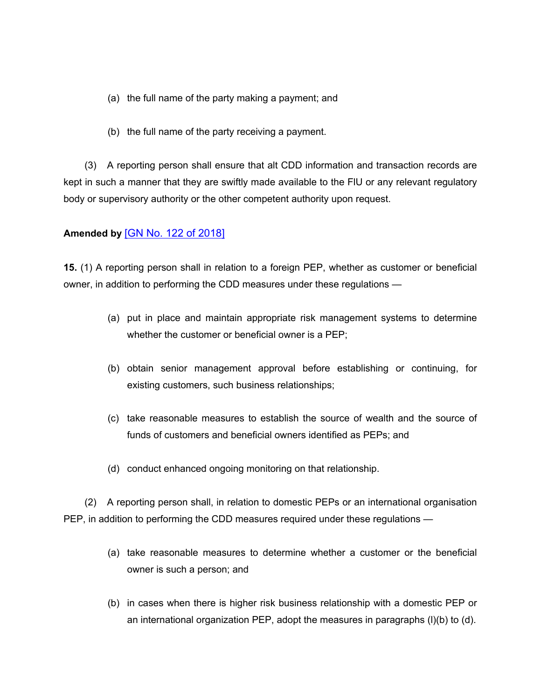- (a) the full name of the party making a payment; and
- (b) the full name of the party receiving a payment.

(3) A reporting person shall ensure that alt CDD information and transaction records are kept in such a manner that they are swiftly made available to the FlU or any relevant regulatory body or supervisory authority or the other competent authority upon request.

# **Amended by** [GN No. 122 of [2018\]](https://supremecourt.govmu.org/_layouts/CLIS.DMS/search/searchdocumentbykey.aspx?ID=%5BGN%20No.%20122%20of%202018%5D&list=Legislations)

**15.** (1) A reporting person shall in relation to a foreign PEP, whether as customer or beneficial owner, in addition to performing the CDD measures under these regulations —

- (a) put in place and maintain appropriate risk management systems to determine whether the customer or beneficial owner is a PEP;
- (b) obtain senior management approval before establishing or continuing, for existing customers, such business relationships;
- (c) take reasonable measures to establish the source of wealth and the source of funds of customers and beneficial owners identified as PEPs; and
- (d) conduct enhanced ongoing monitoring on that relationship.

(2) A reporting person shall, in relation to domestic PEPs or an international organisation PEP, in addition to performing the CDD measures required under these regulations —

- (a) take reasonable measures to determine whether a customer or the beneficial owner is such a person; and
- (b) in cases when there is higher risk business relationship with a domestic PEP or an international organization PEP, adopt the measures in paragraphs (l)(b) to (d).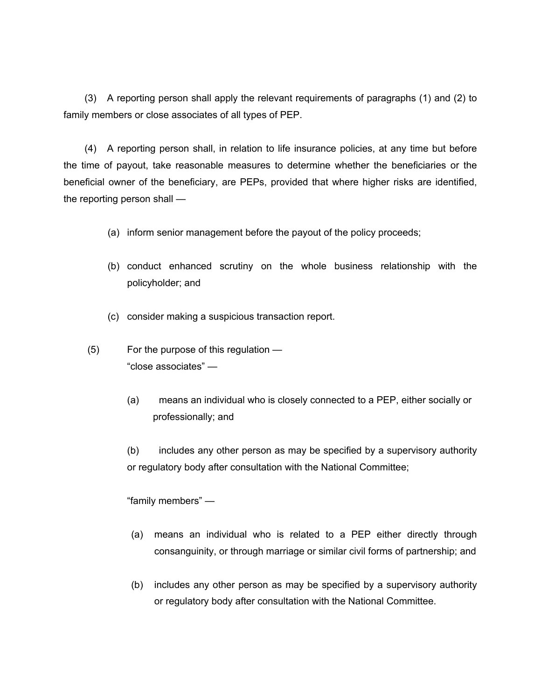(3) A reporting person shall apply the relevant requirements of paragraphs (1) and (2) to family members or close associates of all types of PEP.

(4) A reporting person shall, in relation to life insurance policies, at any time but before the time of payout, take reasonable measures to determine whether the beneficiaries or the beneficial owner of the beneficiary, are PEPs, provided that where higher risks are identified, the reporting person shall —

- (a) inform senior management before the payout of the policy proceeds;
- (b) conduct enhanced scrutiny on the whole business relationship with the policyholder; and
- (c) consider making a suspicious transaction report.
- (5) For the purpose of this regulation "close associates" —
	- (a) means an individual who is closely connected to a PEP, either socially or professionally; and

(b) includes any other person as may be specified by a supervisory authority or regulatory body after consultation with the National Committee;

"family members" —

- (a) means an individual who is related to a PEP either directly through consanguinity, or through marriage or similar civil forms of partnership; and
- (b) includes any other person as may be specified by a supervisory authority or regulatory body after consultation with the National Committee.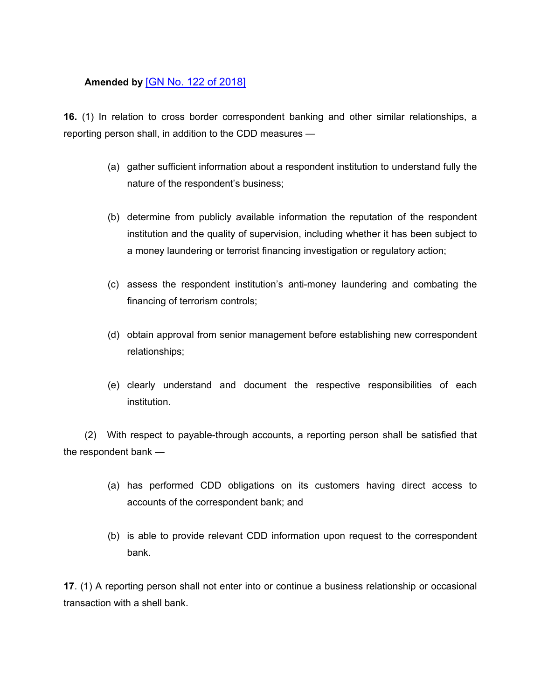# **Amended by** [GN No. 122 of [2018\]](https://supremecourt.govmu.org/_layouts/CLIS.DMS/search/searchdocumentbykey.aspx?ID=%5BGN%20No.%20122%20of%202018%5D&list=Legislations)

**16.** (1) In relation to cross border correspondent banking and other similar relationships, a reporting person shall, in addition to the CDD measures —

- (a) gather sufficient information about a respondent institution to understand fully the nature of the respondent's business;
- (b) determine from publicly available information the reputation of the respondent institution and the quality of supervision, including whether it has been subject to a money laundering or terrorist financing investigation or regulatory action;
- (c) assess the respondent institution's anti-money laundering and combating the financing of terrorism controls;
- (d) obtain approval from senior management before establishing new correspondent relationships;
- (e) clearly understand and document the respective responsibilities of each institution.

(2) With respect to payable-through accounts, a reporting person shall be satisfied that the respondent bank —

- (a) has performed CDD obligations on its customers having direct access to accounts of the correspondent bank; and
- (b) is able to provide relevant CDD information upon request to the correspondent bank.

**17**. (1) A reporting person shall not enter into or continue a business relationship or occasional transaction with a shell bank.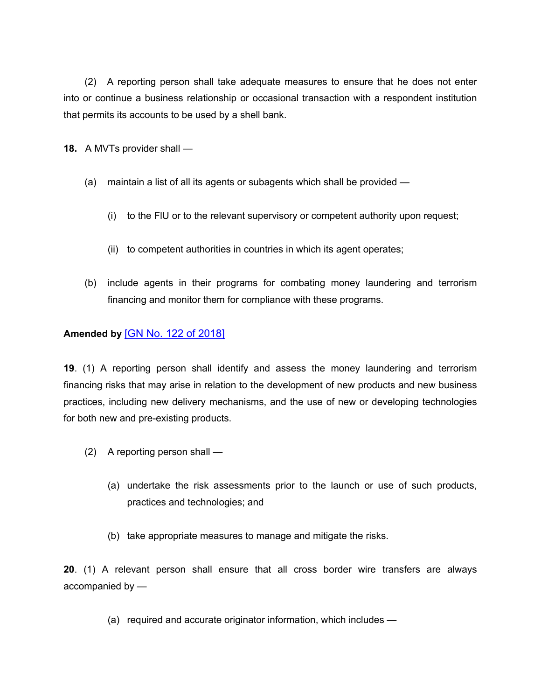(2) A reporting person shall take adequate measures to ensure that he does not enter into or continue a business relationship or occasional transaction with a respondent institution that permits its accounts to be used by a shell bank.

**18.** A MVTs provider shall —

- (a) maintain a list of all its agents or subagents which shall be provided
	- (i) to the FlU or to the relevant supervisory or competent authority upon request;
	- (ii) to competent authorities in countries in which its agent operates;
- (b) include agents in their programs for combating money laundering and terrorism financing and monitor them for compliance with these programs.

# **Amended by** [GN No. 122 of [2018\]](https://supremecourt.govmu.org/_layouts/CLIS.DMS/search/searchdocumentbykey.aspx?ID=%5BGN%20No.%20122%20of%202018%5D&list=Legislations)

**19**. (1) A reporting person shall identify and assess the money laundering and terrorism financing risks that may arise in relation to the development of new products and new business practices, including new delivery mechanisms, and the use of new or developing technologies for both new and pre-existing products.

- (2) A reporting person shall
	- (a) undertake the risk assessments prior to the launch or use of such products, practices and technologies; and
	- (b) take appropriate measures to manage and mitigate the risks.

**20**. (1) A relevant person shall ensure that all cross border wire transfers are always accompanied by —

(a) required and accurate originator information, which includes —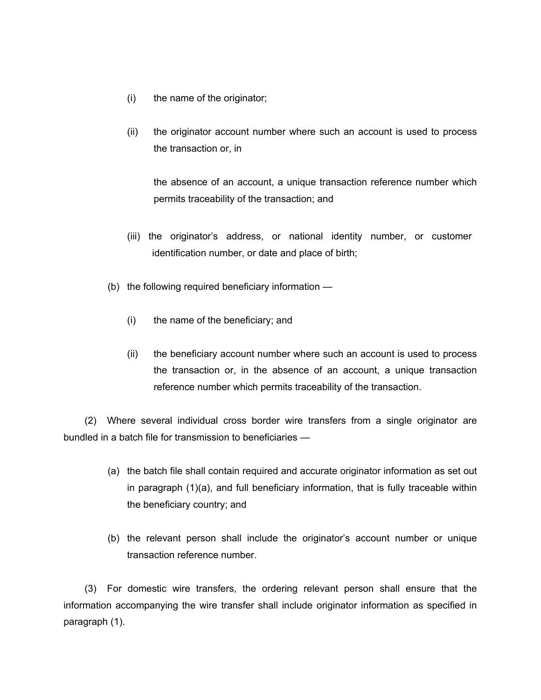- (i) the name of the originator;
- (ii) the originator account number where such an account is used to process the transaction or, in

the absence of an account, a unique transaction reference number which permits traceability of the transaction; and

- (iii) the originator's address, or national identity number, or customer identification number, or date and place of birth;
- (b) the following required beneficiary information
	- (i) the name of the beneficiary; and
	- (ii) the beneficiary account number where such an account is used to process the transaction or, in the absence of an account, a unique transaction reference number which permits traceability of the transaction.

(2) Where several individual cross border wire transfers from a single originator are bundled in a batch file for transmission to beneficiaries —

- (a) the batch file shall contain required and accurate originator information as set out in paragraph (1)(a), and full beneficiary information, that is fully traceable within the beneficiary country; and
- (b) the relevant person shall include the originator's account number or unique transaction reference number.

(3) For domestic wire transfers, the ordering relevant person shall ensure that the information accompanying the wire transfer shall include originator information as specified in paragraph (1).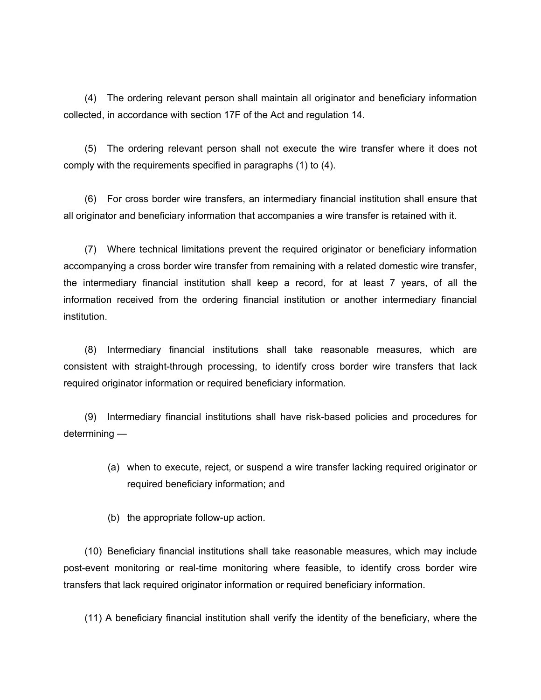(4) The ordering relevant person shall maintain all originator and beneficiary information collected, in accordance with section 17F of the Act and regulation 14.

(5) The ordering relevant person shall not execute the wire transfer where it does not comply with the requirements specified in paragraphs (1) to (4).

(6) For cross border wire transfers, an intermediary financial institution shall ensure that all originator and beneficiary information that accompanies a wire transfer is retained with it.

(7) Where technical limitations prevent the required originator or beneficiary information accompanying a cross border wire transfer from remaining with a related domestic wire transfer, the intermediary financial institution shall keep a record, for at least 7 years, of all the information received from the ordering financial institution or another intermediary financial institution.

(8) Intermediary financial institutions shall take reasonable measures, which are consistent with straight-through processing, to identify cross border wire transfers that lack required originator information or required beneficiary information.

(9) Intermediary financial institutions shall have risk-based policies and procedures for determining —

- (a) when to execute, reject, or suspend a wire transfer lacking required originator or required beneficiary information; and
- (b) the appropriate follow-up action.

(10) Beneficiary financial institutions shall take reasonable measures, which may include post-event monitoring or real-time monitoring where feasible, to identify cross border wire transfers that lack required originator information or required beneficiary information.

(11) A beneficiary financial institution shall verify the identity of the beneficiary, where the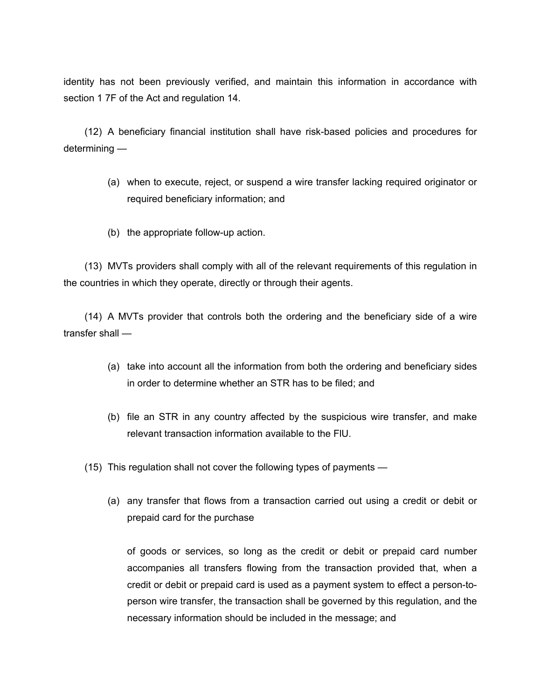identity has not been previously verified, and maintain this information in accordance with section 1 7F of the Act and regulation 14.

(12) A beneficiary financial institution shall have risk-based policies and procedures for determining —

- (a) when to execute, reject, or suspend a wire transfer lacking required originator or required beneficiary information; and
- (b) the appropriate follow-up action.

(13) MVTs providers shall comply with all of the relevant requirements of this regulation in the countries in which they operate, directly or through their agents.

(14) A MVTs provider that controls both the ordering and the beneficiary side of a wire transfer shall —

- (a) take into account all the information from both the ordering and beneficiary sides in order to determine whether an STR has to be filed; and
- (b) file an STR in any country affected by the suspicious wire transfer, and make relevant transaction information available to the FlU.
- (15) This regulation shall not cover the following types of payments
	- (a) any transfer that flows from a transaction carried out using a credit or debit or prepaid card for the purchase

of goods or services, so long as the credit or debit or prepaid card number accompanies all transfers flowing from the transaction provided that, when a credit or debit or prepaid card is used as a payment system to effect a person-toperson wire transfer, the transaction shall be governed by this regulation, and the necessary information should be included in the message; and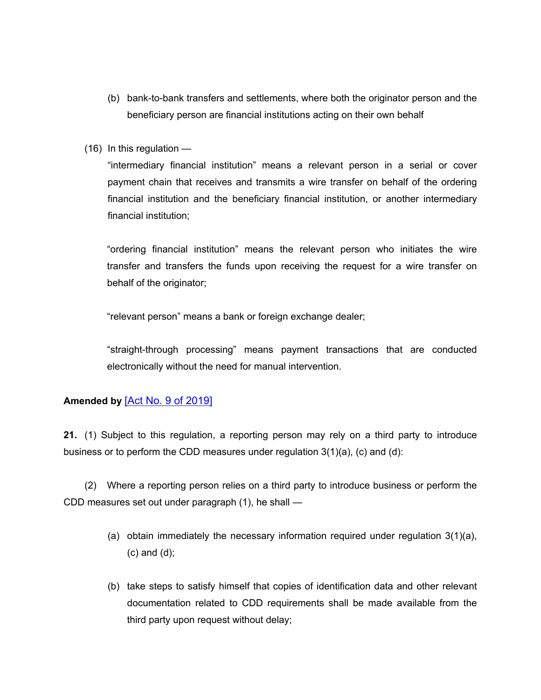- (b) bank-to-bank transfers and settlements, where both the originator person and the beneficiary person are financial institutions acting on their own behalf
- (16) In this regulation —

"intermediary financial institution" means a relevant person in a serial or cover payment chain that receives and transmits a wire transfer on behalf of the ordering financial institution and the beneficiary financial institution, or another intermediary financial institution;

"ordering financial institution" means the relevant person who initiates the wire transfer and transfers the funds upon receiving the request for a wire transfer on behalf of the originator;

"relevant person" means a bank or foreign exchange dealer;

"straight-through processing" means payment transactions that are conducted electronically without the need for manual intervention.

### **Amended by** [Act No. 9 of [2019\]](https://supremecourt.govmu.org/_layouts/CLIS.DMS/search/searchdocumentbykey.aspx?ID=%5BAct%20No.%209%20of%202019%5D&list=Legislations)

**21.** (1) Subject to this regulation, a reporting person may rely on a third party to introduce business or to perform the CDD measures under regulation  $3(1)(a)$ , (c) and (d):

(2) Where a reporting person relies on a third party to introduce business or perform the CDD measures set out under paragraph (1), he shall —

- (a) obtain immediately the necessary information required under requiation  $3(1)(a)$ , (c) and (d);
- (b) take steps to satisfy himself that copies of identification data and other relevant documentation related to CDD requirements shall be made available from the third party upon request without delay;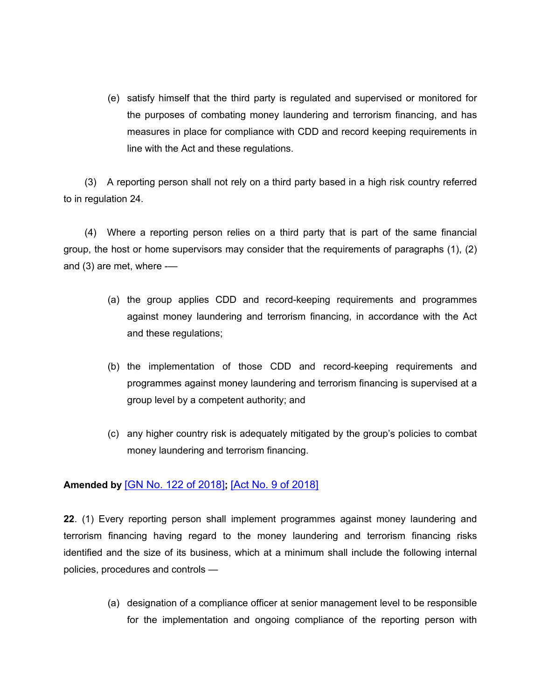(e) satisfy himself that the third party is regulated and supervised or monitored for the purposes of combating money laundering and terrorism financing, and has measures in place for compliance with CDD and record keeping requirements in line with the Act and these regulations.

(3) A reporting person shall not rely on a third party based in a high risk country referred to in regulation 24.

(4) Where a reporting person relies on a third party that is part of the same financial group, the host or home supervisors may consider that the requirements of paragraphs (1), (2) and (3) are met, where -—

- (a) the group applies CDD and record-keeping requirements and programmes against money laundering and terrorism financing, in accordance with the Act and these regulations;
- (b) the implementation of those CDD and record-keeping requirements and programmes against money laundering and terrorism financing is supervised at a group level by a competent authority; and
- (c) any higher country risk is adequately mitigated by the group's policies to combat money laundering and terrorism financing.

# **Amended by** [GN No. 122 of [2018\]](https://supremecourt.govmu.org/_layouts/CLIS.DMS/search/searchdocumentbykey.aspx?ID=%5BGN%20No.%20122%20of%202018%5D&list=Legislations)**;** [Act No. 9 of [2018\]](https://supremecourt.govmu.org/_layouts/CLIS.DMS/search/searchdocumentbykey.aspx?ID=%5BAct%20No.%209%20of%202018%5D&list=Legislations)

**22**. (1) Every reporting person shall implement programmes against money laundering and terrorism financing having regard to the money laundering and terrorism financing risks identified and the size of its business, which at a minimum shall include the following internal policies, procedures and controls —

> (a) designation of a compliance officer at senior management level to be responsible for the implementation and ongoing compliance of the reporting person with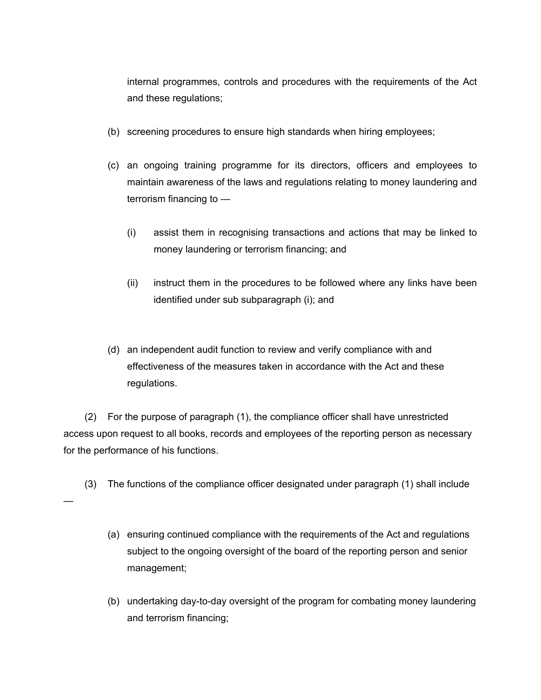internal programmes, controls and procedures with the requirements of the Act and these regulations;

- (b) screening procedures to ensure high standards when hiring employees;
- (c) an ongoing training programme for its directors, officers and employees to maintain awareness of the laws and regulations relating to money laundering and terrorism financing to —
	- (i) assist them in recognising transactions and actions that may be linked to money laundering or terrorism financing; and
	- (ii) instruct them in the procedures to be followed where any links have been identified under sub subparagraph (i); and
- (d) an independent audit function to review and verify compliance with and effectiveness of the measures taken in accordance with the Act and these regulations.

(2) For the purpose of paragraph (1), the compliance officer shall have unrestricted access upon request to all books, records and employees of the reporting person as necessary for the performance of his functions.

(3) The functions of the compliance officer designated under paragraph (1) shall include

—

- (a) ensuring continued compliance with the requirements of the Act and regulations subject to the ongoing oversight of the board of the reporting person and senior management;
- (b) undertaking day-to-day oversight of the program for combating money laundering and terrorism financing;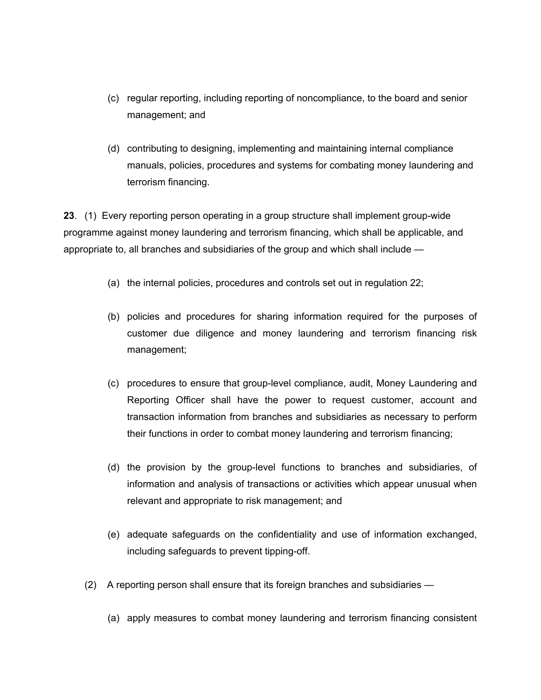- (c) regular reporting, including reporting of noncompliance, to the board and senior management; and
- (d) contributing to designing, implementing and maintaining internal compliance manuals, policies, procedures and systems for combating money laundering and terrorism financing.

**23**. (1) Every reporting person operating in a group structure shall implement group-wide programme against money laundering and terrorism financing, which shall be applicable, and appropriate to, all branches and subsidiaries of the group and which shall include —

- (a) the internal policies, procedures and controls set out in regulation 22;
- (b) policies and procedures for sharing information required for the purposes of customer due diligence and money laundering and terrorism financing risk management;
- (c) procedures to ensure that group-level compliance, audit, Money Laundering and Reporting Officer shall have the power to request customer, account and transaction information from branches and subsidiaries as necessary to perform their functions in order to combat money laundering and terrorism financing;
- (d) the provision by the group-level functions to branches and subsidiaries, of information and analysis of transactions or activities which appear unusual when relevant and appropriate to risk management; and
- (e) adequate safeguards on the confidentiality and use of information exchanged, including safeguards to prevent tipping-off.
- (2) A reporting person shall ensure that its foreign branches and subsidiaries
	- (a) apply measures to combat money laundering and terrorism financing consistent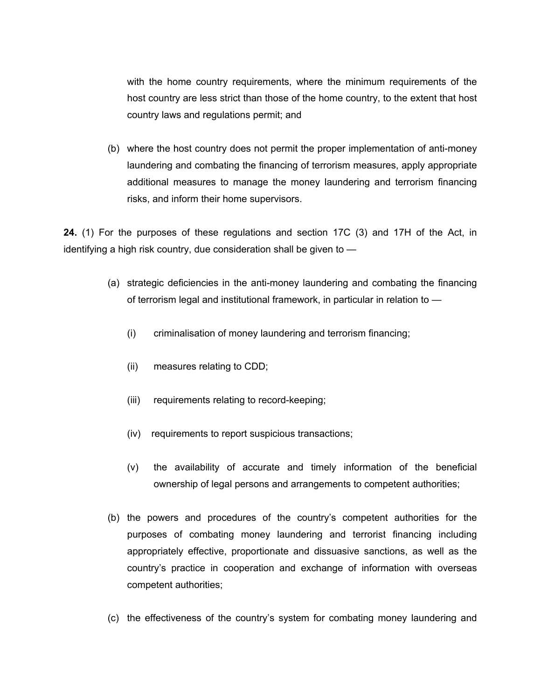with the home country requirements, where the minimum requirements of the host country are less strict than those of the home country, to the extent that host country laws and regulations permit; and

(b) where the host country does not permit the proper implementation of anti-money laundering and combating the financing of terrorism measures, apply appropriate additional measures to manage the money laundering and terrorism financing risks, and inform their home supervisors.

**24.** (1) For the purposes of these regulations and section 17C (3) and 17H of the Act, in identifying a high risk country, due consideration shall be given to —

- (a) strategic deficiencies in the anti-money laundering and combating the financing of terrorism legal and institutional framework, in particular in relation to —
	- (i) criminalisation of money laundering and terrorism financing;
	- (ii) measures relating to CDD;
	- (iii) requirements relating to record-keeping;
	- (iv) requirements to report suspicious transactions;
	- (v) the availability of accurate and timely information of the beneficial ownership of legal persons and arrangements to competent authorities;
- (b) the powers and procedures of the country's competent authorities for the purposes of combating money laundering and terrorist financing including appropriately effective, proportionate and dissuasive sanctions, as well as the country's practice in cooperation and exchange of information with overseas competent authorities;
- (c) the effectiveness of the country's system for combating money laundering and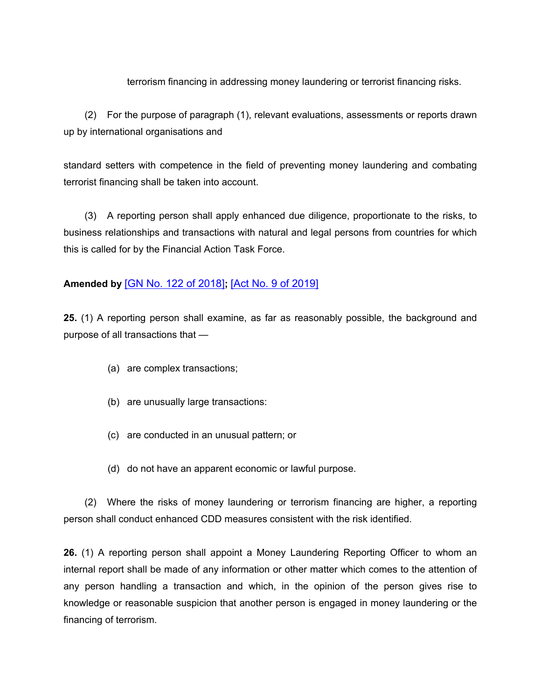### terrorism financing in addressing money laundering or terrorist financing risks.

(2) For the purpose of paragraph (1), relevant evaluations, assessments or reports drawn up by international organisations and

standard setters with competence in the field of preventing money laundering and combating terrorist financing shall be taken into account.

(3) A reporting person shall apply enhanced due diligence, proportionate to the risks, to business relationships and transactions with natural and legal persons from countries for which this is called for by the Financial Action Task Force.

# **Amended by** [GN No. 122 of [2018\]](https://supremecourt.govmu.org/_layouts/CLIS.DMS/search/searchdocumentbykey.aspx?ID=%5BGN%20No.%20122%20of%202018%5D&list=Legislations)**;** [Act No. 9 of [2019\]](https://supremecourt.govmu.org/_layouts/CLIS.DMS/search/searchdocumentbykey.aspx?ID=%5BAct%20No.%209%20of%202019%5D&list=Legislations)

**25.** (1) A reporting person shall examine, as far as reasonably possible, the background and purpose of all transactions that —

- (a) are complex transactions;
- (b) are unusually large transactions:
- (c) are conducted in an unusual pattern; or
- (d) do not have an apparent economic or lawful purpose.

(2) Where the risks of money laundering or terrorism financing are higher, a reporting person shall conduct enhanced CDD measures consistent with the risk identified.

**26.** (1) A reporting person shall appoint a Money Laundering Reporting Officer to whom an internal report shall be made of any information or other matter which comes to the attention of any person handling a transaction and which, in the opinion of the person gives rise to knowledge or reasonable suspicion that another person is engaged in money laundering or the financing of terrorism.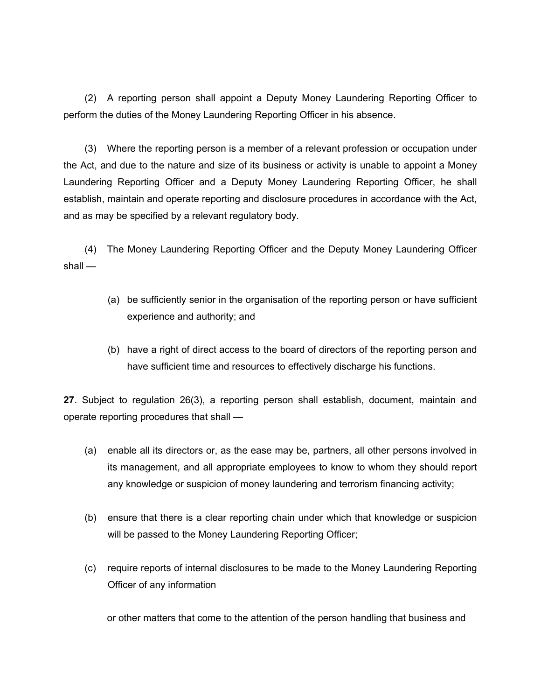(2) A reporting person shall appoint a Deputy Money Laundering Reporting Officer to perform the duties of the Money Laundering Reporting Officer in his absence.

(3) Where the reporting person is a member of a relevant profession or occupation under the Act, and due to the nature and size of its business or activity is unable to appoint a Money Laundering Reporting Officer and a Deputy Money Laundering Reporting Officer, he shall establish, maintain and operate reporting and disclosure procedures in accordance with the Act, and as may be specified by a relevant regulatory body.

(4) The Money Laundering Reporting Officer and the Deputy Money Laundering Officer shall —

- (a) be sufficiently senior in the organisation of the reporting person or have sufficient experience and authority; and
- (b) have a right of direct access to the board of directors of the reporting person and have sufficient time and resources to effectively discharge his functions.

**27**. Subject to regulation 26(3), a reporting person shall establish, document, maintain and operate reporting procedures that shall —

- (a) enable all its directors or, as the ease may be, partners, all other persons involved in its management, and all appropriate employees to know to whom they should report any knowledge or suspicion of money laundering and terrorism financing activity;
- (b) ensure that there is a clear reporting chain under which that knowledge or suspicion will be passed to the Money Laundering Reporting Officer;
- (c) require reports of internal disclosures to be made to the Money Laundering Reporting Officer of any information

or other matters that come to the attention of the person handling that business and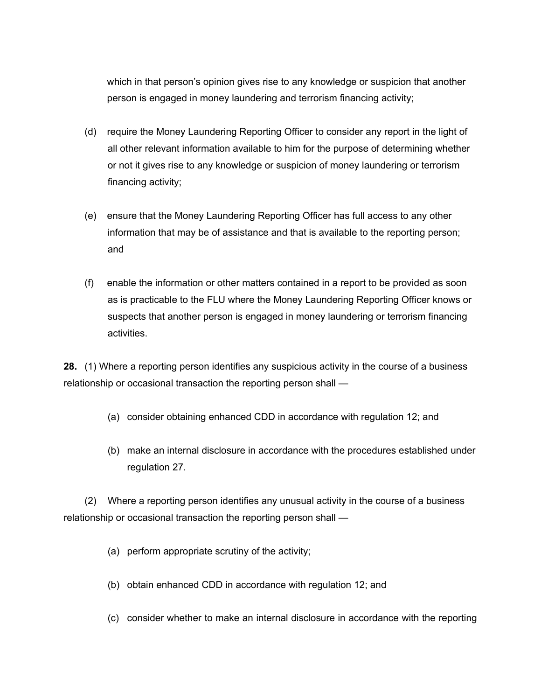which in that person's opinion gives rise to any knowledge or suspicion that another person is engaged in money laundering and terrorism financing activity;

- (d) require the Money Laundering Reporting Officer to consider any report in the light of all other relevant information available to him for the purpose of determining whether or not it gives rise to any knowledge or suspicion of money laundering or terrorism financing activity;
- (e) ensure that the Money Laundering Reporting Officer has full access to any other information that may be of assistance and that is available to the reporting person; and
- (f) enable the information or other matters contained in a report to be provided as soon as is practicable to the FLU where the Money Laundering Reporting Officer knows or suspects that another person is engaged in money laundering or terrorism financing activities.

**28.** (1) Where a reporting person identifies any suspicious activity in the course of a business relationship or occasional transaction the reporting person shall —

- (a) consider obtaining enhanced CDD in accordance with regulation 12; and
- (b) make an internal disclosure in accordance with the procedures established under regulation 27.

(2) Where a reporting person identifies any unusual activity in the course of a business relationship or occasional transaction the reporting person shall —

- (a) perform appropriate scrutiny of the activity;
- (b) obtain enhanced CDD in accordance with regulation 12; and
- (c) consider whether to make an internal disclosure in accordance with the reporting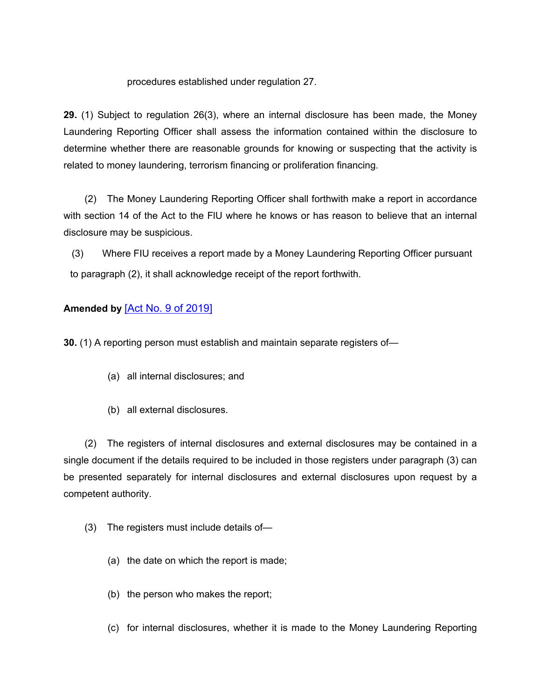#### procedures established under regulation 27.

**29.** (1) Subject to regulation 26(3), where an internal disclosure has been made, the Money Laundering Reporting Officer shall assess the information contained within the disclosure to determine whether there are reasonable grounds for knowing or suspecting that the activity is related to money laundering, terrorism financing or proliferation financing.

(2) The Money Laundering Reporting Officer shall forthwith make a report in accordance with section 14 of the Act to the FlU where he knows or has reason to believe that an internal disclosure may be suspicious.

(3) Where FIU receives a report made by a Money Laundering Reporting Officer pursuant to paragraph (2), it shall acknowledge receipt of the report forthwith.

# **Amended by** [Act No. 9 of [2019\]](https://supremecourt.govmu.org/_layouts/CLIS.DMS/search/searchdocumentbykey.aspx?ID=%5BAct%20No.%209%20of%202019%5D&list=Legislations)

**30.** (1) A reporting person must establish and maintain separate registers of—

- (a) all internal disclosures; and
- (b) all external disclosures.

(2) The registers of internal disclosures and external disclosures may be contained in a single document if the details required to be included in those registers under paragraph (3) can be presented separately for internal disclosures and external disclosures upon request by a competent authority.

- (3) The registers must include details of—
	- (a) the date on which the report is made;
	- (b) the person who makes the report;
	- (c) for internal disclosures, whether it is made to the Money Laundering Reporting